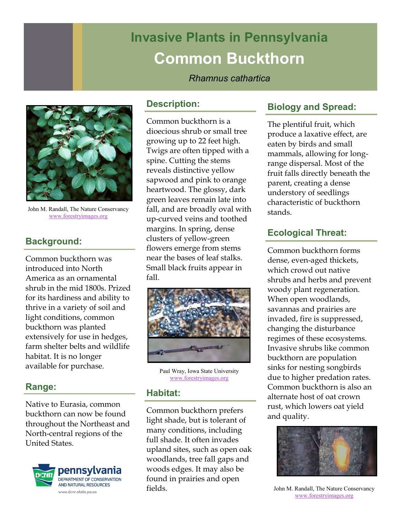# **Invasive Plants in Pennsylvania Common Buckthorn**

## *Rhamnus cathartica*



John M. Randall, The Nature Conservancy [www.forestryimages.org](http://www.forestryimages.org)

## **Background:**

Common buckthorn was introduced into North America as an ornamental shrub in the mid 1800s. Prized for its hardiness and ability to thrive in a variety of soil and light conditions, common buckthorn was planted extensively for use in hedges, farm shelter belts and wildlife habitat. It is no longer available for purchase.

## **Range:**

Native to Eurasia, common buckthorn can now be found throughout the Northeast and North-central regions of the United States.



#### **Description:**

Common buckthorn is a dioecious shrub or small tree growing up to 22 feet high. Twigs are often tipped with a spine. Cutting the stems reveals distinctive yellow sapwood and pink to orange heartwood. The glossy, dark green leaves remain late into fall, and are broadly oval with up-curved veins and toothed margins. In spring, dense clusters of yellow-green flowers emerge from stems near the bases of leaf stalks. Small black fruits appear in fall.



Paul Wray, Iowa State University [www.forestryimages.org](http://www.forestryimages.org)

#### **Habitat:**

Common buckthorn prefers light shade, but is tolerant of many conditions, including full shade. It often invades upland sites, such as open oak woodlands, tree fall gaps and woods edges. It may also be found in prairies and open fields.

# **Biology and Spread:**

The plentiful fruit, which produce a laxative effect, are eaten by birds and small mammals, allowing for longrange dispersal. Most of the fruit falls directly beneath the parent, creating a dense understory of seedlings characteristic of buckthorn stands.

## **Ecological Threat:**

Common buckthorn forms dense, even-aged thickets, which crowd out native shrubs and herbs and prevent woody plant regeneration. When open woodlands, savannas and prairies are invaded, fire is suppressed, changing the disturbance regimes of these ecosystems. Invasive shrubs like common buckthorn are population sinks for nesting songbirds due to higher predation rates. Common buckthorn is also an alternate host of oat crown rust, which lowers oat yield and quality.



John M. Randall, The Nature Conservancy [www.forestryimages.org](http://www.forestryimages.org)